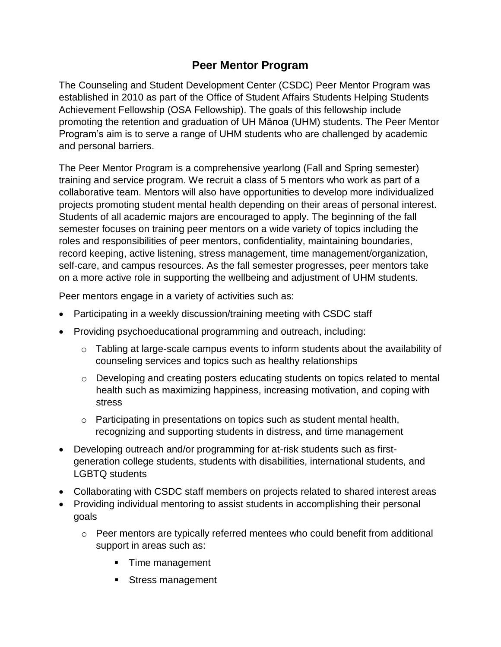## **Peer Mentor Program**

The Counseling and Student Development Center (CSDC) Peer Mentor Program was established in 2010 as part of the Office of Student Affairs Students Helping Students Achievement Fellowship (OSA Fellowship). The goals of this fellowship include promoting the retention and graduation of UH Mānoa (UHM) students. The Peer Mentor Program's aim is to serve a range of UHM students who are challenged by academic and personal barriers.

The Peer Mentor Program is a comprehensive yearlong (Fall and Spring semester) training and service program. We recruit a class of 5 mentors who work as part of a collaborative team. Mentors will also have opportunities to develop more individualized projects promoting student mental health depending on their areas of personal interest. Students of all academic majors are encouraged to apply. The beginning of the fall semester focuses on training peer mentors on a wide variety of topics including the roles and responsibilities of peer mentors, confidentiality, maintaining boundaries, record keeping, active listening, stress management, time management/organization, self-care, and campus resources. As the fall semester progresses, peer mentors take on a more active role in supporting the wellbeing and adjustment of UHM students.

Peer mentors engage in a variety of activities such as:

- Participating in a weekly discussion/training meeting with CSDC staff
- Providing psychoeducational programming and outreach, including:
	- $\circ$  Tabling at large-scale campus events to inform students about the availability of counseling services and topics such as healthy relationships
	- o Developing and creating posters educating students on topics related to mental health such as maximizing happiness, increasing motivation, and coping with stress
	- $\circ$  Participating in presentations on topics such as student mental health, recognizing and supporting students in distress, and time management
- Developing outreach and/or programming for at-risk students such as firstgeneration college students, students with disabilities, international students, and LGBTQ students
- Collaborating with CSDC staff members on projects related to shared interest areas
- Providing individual mentoring to assist students in accomplishing their personal goals
	- o Peer mentors are typically referred mentees who could benefit from additional support in areas such as:
		- Time management
		- **Stress management**